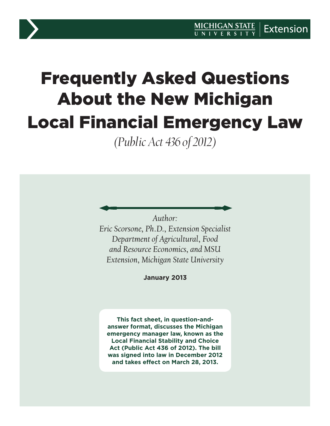# Frequently Asked Questions About the New Michigan Local Financial Emergency Law

*(Public Act 436 of 2012)*

*Author:* 

*Eric Scorsone, Ph.D., Extension Specialist Department of Agricultural, Food and Resource Economics, and MSU Extension, Michigan State University*

**January 2013**

**This fact sheet, in question-andanswer format, discusses the Michigan emergency manager law, known as the Local Financial Stability and Choice Act (Public Act 436 of 2012). The bill was signed into law in December 2012 and takes effect on March 28, 2013.**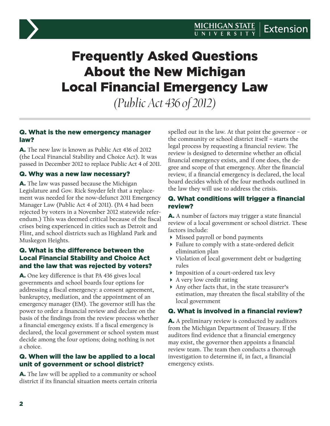

## Frequently Asked Questions About the New Michigan Local Financial Emergency Law

*(Public Act 436 of 2012)*

#### Q. What is the new emergency manager law?

A. The new law is known as Public Act 436 of 2012 (the Local Financial Stability and Choice Act). It was passed in December 2012 to replace Public Act 4 of 2011.

#### Q. Why was a new law necessary?

A. The law was passed because the Michigan Legislature and Gov. Rick Snyder felt that a replacement was needed for the now-defunct 2011 Emergency Manager Law (Public Act 4 of 2011). (PA 4 had been rejected by voters in a November 2012 statewide referendum.) This was deemed critical because of the fiscal crises being experienced in cities such as Detroit and Flint, and school districts such as Highland Park and Muskegon Heights.

#### Q. What is the difference between the Local Financial Stability and Choice Act and the law that was rejected by voters?

A. One key difference is that PA 436 gives local governments and school boards four options for addressing a fiscal emergency: a consent agreement, bankruptcy, mediation, and the appointment of an emergency manager (EM). The governor still has the power to order a financial review and declare on the basis of the findings from the review process whether a financial emergency exists. If a fiscal emergency is declared, the local government or school system must decide among the four options; doing nothing is not a choice.

#### Q. When will the law be applied to a local unit of government or school district?

A. The law will be applied to a community or school district if its financial situation meets certain criteria spelled out in the law. At that point the governor – or the community or school district itself – starts the legal process by requesting a financial review. The review is designed to determine whether an official financial emergency exists, and if one does, the degree and scope of that emergency. After the financial review, if a financial emergency is declared, the local board decides which of the four methods outlined in the law they will use to address the crisis.

#### Q. What conditions will trigger a financial review?

A. A number of factors may trigger a state financial review of a local government or school district. These factors include:

- Missed payroll or bond payments
- Failure to comply with a state-ordered deficit elimination plan
- Violation of local government debt or budgeting rules
- Imposition of a court-ordered tax levy
- A very low credit rating
- Any other facts that, in the state treasurer's estimation, may threaten the fiscal stability of the local government

#### Q. What is involved in a financial review?

A. A preliminary review is conducted by auditors from the Michigan Department of Treasury. If the auditors find evidence that a financial emergency may exist, the governor then appoints a financial review team. The team then conducts a thorough investigation to determine if, in fact, a financial emergency exists.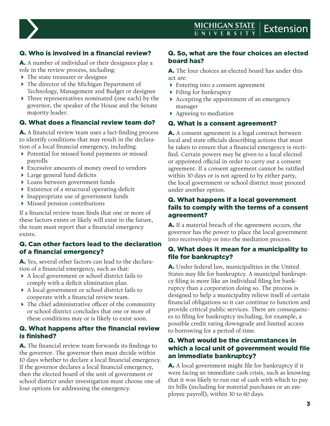

### Q. Who is involved in a financial review?

A. A number of individual or their designees play a role in the review process, including:

- The state treasurer or designee
- ▶ The director of the Michigan Department of Technology, Management and Budget or designee
- Three representatives nominated (one each) by the governor, the speaker of the House and the Senate majority leader.

#### Q. What does a financial review team do?

A. A financial review team uses a fact-finding process to identify conditions that may result in the declaration of a local financial emergency, including:

- Potential for missed bond payments or missed payrolls
- Excessive amounts of money owed to vendors
- Large general fund deficits
- Loans between government funds
- Existence of a structural operating deficit
- Inappropriate use of government funds
- Missed pension contributions

If a financial review team finds that one or more of these factors exists or likely will exist in the future, the team must report that a financial emergency exists.

#### Q. Can other factors lead to the declaration of a financial emergency?

A. Yes, several other factors can lead to the declaration of a financial emergency, such as that:

- A local government or school district fails to comply with a deficit elimination plan.
- A local government or school district fails to cooperate with a financial review team.
- The chief administrative officer of the community or school district concludes that one or more of these conditions may or is likely to exist soon.

#### Q. What happens after the financial review is finished?

A. The financial review team forwards its findings to the governor. The governor then must decide within 10 days whether to declare a local financial emergency. If the governor declares a local financial emergency, then the elected board of the unit of government or school district under investigation must choose one of four options for addressing the emergency.

#### Q. So, what are the four choices an elected board has?

A. The four choices an elected board has under this act are:

- Entering into a consent agreement
- Filing for bankruptcy
- Accepting the appointment of an emergency manager
- Agreeing to mediation

#### Q. What is a consent agreement?

A. A consent agreement is a legal contract between local and state officials describing actions that must be taken to ensure that a financial emergency is rectified. Certain powers may be given to a local elected or appointed official in order to carry out a consent agreement. If a consent agreement cannot be ratified within 30 days or is not agreed to by either party, the local government or school district must proceed under another option.

#### Q. What happens if a local government fails to comply with the terms of a consent agreement?

A. If a material breach of the agreement occurs, the governor has the power to place the local government into receivership or into the mediation process.

#### Q. What does it mean for a municipality to file for bankruptcy?

A. Under federal law, municipalities in the United States may file for bankruptcy. A municipal bankruptcy filing is more like an individual filing for bankruptcy than a corporation doing so. The process is designed to help a municipality relieve itself of certain financial obligations so it can continue to function and provide critical public services. There are consequences to filing for bankruptcy including, for example, a possible credit rating downgrade and limited access to borrowing for a period of time.

#### Q. What would be the circumstances in which a local unit of government would file an immediate bankruptcy?

A. A local government might file for bankruptcy if it were facing an immediate cash crisis, such as knowing that it was likely to run out of cash with which to pay its bills (including for material purchases or an employee payroll), within 30 to 60 days.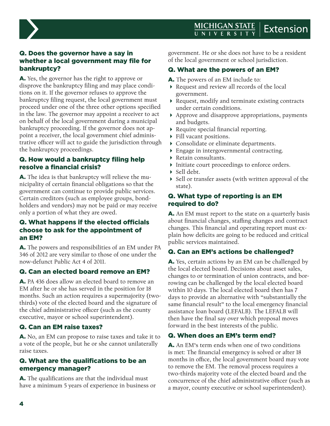

#### Q. Does the governor have a say in whether a local government may file for bankruptcy?

A. Yes, the governor has the right to approve or disprove the bankruptcy filing and may place conditions on it. If the governor refuses to approve the bankruptcy filing request, the local government must proceed under one of the three other options specified in the law. The governor may appoint a receiver to act on behalf of the local government during a municipal bankruptcy proceeding. If the governor does not appoint a receiver, the local government chief administrative officer will act to guide the jurisdiction through the bankruptcy proceedings.

#### Q. How would a bankruptcy filing help resolve a financial crisis?

A. The idea is that bankruptcy will relieve the municipality of certain financial obligations so that the government can continue to provide public services. Certain creditors (such as employee groups, bondholders and vendors) may not be paid or may receive only a portion of what they are owed.

#### Q. What happens if the elected officials choose to ask for the appointment of an EM?

A. The powers and responsibilities of an EM under PA 346 of 2012 are very similar to those of one under the now-defunct Public Act 4 of 2011.

#### Q. Can an elected board remove an EM?

A. PA 436 does allow an elected board to remove an EM after he or she has served in the position for 18 months. Such an action requires a supermajority (twothirds) vote of the elected board and the signature of the chief administrative officer (such as the county executive, mayor or school superintendent).

#### Q. Can an EM raise taxes?

A. No, an EM can propose to raise taxes and take it to a vote of the people, but he or she cannot unilaterally raise taxes.

#### Q. What are the qualifications to be an emergency manager?

A. The qualifications are that the individual must have a minimum 5 years of experience in business or government. He or she does not have to be a resident of the local government or school jurisdiction.

#### Q. What are the powers of an EM?

- A. The powers of an EM include to:
- Request and review all records of the local government.
- Request, modify and terminate existing contracts under certain conditions.
- Approve and disapprove appropriations, payments and budgets.
- Require special financial reporting.
- Fill vacant positions.
- Consolidate or eliminate departments.
- Engage in intergovernmental contracting.
- Retain consultants.
- Initiate court proceedings to enforce orders.
- $\triangleright$  Sell debt.
- ▶ Sell or transfer assets (with written approval of the state).

#### Q. What type of reporting is an EM required to do?

A. An EM must report to the state on a quarterly basis about financial changes, staffing changes and contract changes. This financial and operating report must explain how deficits are going to be reduced and critical public services maintained.

#### Q. Can an EM's actions be challenged?

A. Yes, certain actions by an EM can be challenged by the local elected board. Decisions about asset sales, changes to or termination of union contracts, and borrowing can be challenged by the local elected board within 10 days. The local elected board then has 7 days to provide an alternative with "substantially the same financial result" to the local emergency financial assistance loan board (LEFALB). The LEFALB will then have the final say over which proposal moves forward in the best interests of the public.

#### Q. When does an EM's term end?

A. An EM's term ends when one of two conditions is met: The financial emergency is solved or after 18 months in office, the local government board may vote to remove the EM. The removal process requires a two-thirds majority vote of the elected board and the concurrence of the chief administrative officer (such as a mayor, county executive or school superintendent).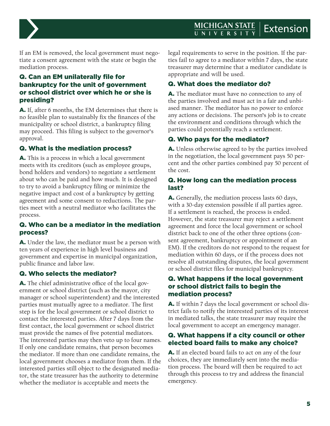#### **MICHIGAN STATE Extension**



If an EM is removed, the local government must negotiate a consent agreement with the state or begin the mediation process.

#### Q. Can an EM unilaterally file for bankruptcy for the unit of government or school district over which he or she is presiding?

A. If, after 6 months, the EM determines that there is no feasible plan to sustainably fix the finances of the municipality or school district, a bankruptcy filing may proceed. This filing is subject to the governor's approval.

#### Q. What is the mediation process?

A. This is a process in which a local government meets with its creditors (such as employee groups, bond holders and vendors) to negotiate a settlement about who can be paid and how much. It is designed to try to avoid a bankruptcy filing or minimize the negative impact and cost of a bankruptcy by getting agreement and some consent to reductions. The parties meet with a neutral mediator who facilitates the process.

#### Q. Who can be a mediator in the mediation process?

A. Under the law, the mediator must be a person with ten years of experience in high level business and government and expertise in municipal organization, public finance and labor law.

#### Q. Who selects the mediator?

A. The chief administrative office of the local government or school district (such as the mayor, city manager or school superintendent) and the interested parties must mutually agree to a mediator. The first step is for the local government or school district to contact the interested parties. After 7 days from the first contact, the local government or school district must provide the names of five potential mediators. The interested parties may then veto up to four names. If only one candidate remains, that person becomes the mediator. If more than one candidate remains, the local government chooses a mediator from them. If the interested parties still object to the designated mediator, the state treasurer has the authority to determine whether the mediator is acceptable and meets the

legal requirements to serve in the position. If the parties fail to agree to a mediator within 7 days, the state treasurer may determine that a mediator candidate is appropriate and will be used.

#### Q. What does the mediator do?

A. The mediator must have no connection to any of the parties involved and must act in a fair and unbiased manner. The mediator has no power to enforce any actions or decisions. The person's job is to create the environment and conditions through which the parties could potentially reach a settlement.

#### Q. Who pays for the mediator?

A. Unless otherwise agreed to by the parties involved in the negotiation, the local government pays 50 percent and the other parties combined pay 50 percent of the cost.

#### Q. How long can the mediation process last?

A. Generally, the mediation process lasts 60 days, with a 30-day extension possible if all parties agree. If a settlement is reached, the process is ended. However, the state treasurer may reject a settlement agreement and force the local government or school district back to one of the other three options (consent agreement, bankruptcy or appointment of an EM). If the creditors do not respond to the request for mediation within 60 days, or if the process does not resolve all outstanding disputes, the local government or school district files for municipal bankruptcy.

#### Q. What happens if the local government or school district fails to begin the mediation process?

A. If within 7 days the local government or school district fails to notify the interested parties of its interest in mediated talks, the state treasurer may require the local government to accept an emergency manager.

#### Q. What happens if a city council or other elected board fails to make any choice?

A. If an elected board fails to act on any of the four choices, they are immediately sent into the mediation process. The board will then be required to act through this process to try and address the financial emergency.